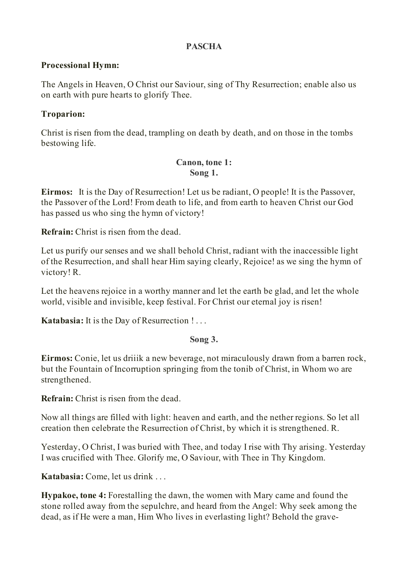#### **PASCHA**

#### **Processional Hymn:**

The Angels in Heaven, O Christ our Saviour, sing of Thy Resurrection; enable also us on earth with pure hearts to glorify Thee.

### **Troparion:**

Christ is risen from the dead, trampling on death by death, and on those in the tombs bestowing life.

#### **Canon, tone 1: Song 1.**

**Eirmos:** It is the Day of Resurrection! Let us be radiant, O people! It is the Passover, the Passover of the Lord! From death to life, and from earth to heaven Christ our God has passed us who sing the hymn of victory!

**Refrain:** Christ is risen from the dead.

Let us purify our senses and we shall behold Christ, radiant with the inaccessible light of the Resurrection, and shall hear Him saying clearly, Rejoice! as we sing the hymn of victory! R.

Let the heavens rejoice in a worthy manner and let the earth be glad, and let the whole world, visible and invisible, keep festival. For Christ our eternal joy is risen!

**Katabasia:** It is the Day of Resurrection ! . . .

### **Song 3.**

**Eirmos:** Conie, let us driiik a new beverage, not miraculously drawn from a barren rock, but the Fountain of Incorruption springing from the tonib of Christ, in Whom wo are strengthened.

**Refrain:** Christ is risen from the dead.

Now all things are filled with light: heaven and earth, and the nether regions. So let all creation then celebrate the Resurrection of Christ, by which it is strengthened. R.

Yesterday, O Christ, I was buried with Thee, and today I rise with Thy arising. Yesterday I was crucified with Thee. Glorify me, O Saviour, with Thee in Thy Kingdom.

**Katabasia:** Come, let us drink . . .

**Hypakoe, tone 4:** Forestalling the dawn, the women with Mary came and found the stone rolled away from the sepulchre, and heard from the Angel: Why seek among the dead, as if He were a man, Him Who lives in everlasting light? Behold the grave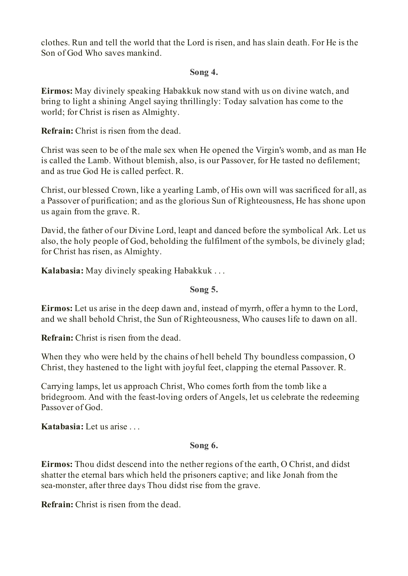clothes. Run and tell the world that the Lord is risen, and has slain death. For He is the Son of God Who saves mankind.

#### **Song 4.**

**Eirmos:** May divinely speaking Habakkuk now stand with us on divine watch, and bring to light a shining Angel saying thrillingly: Today salvation has come to the world; for Christ is risen as Almighty.

**Refrain:** Christ is risen from the dead.

Christ was seen to be of the male sex when He opened the Virgin's womb, and as man He is called the Lamb. Without blemish, also, is our Passover, for He tasted no defilement; and as true God He is called perfect. R.

Christ, our blessed Crown, like a yearling Lamb, of His own will was sacrificed for all, as a Passover of purification; and as the glorious Sun of Righteousness, He has shone upon us again from the grave. R.

David, the father of our Divine Lord, leapt and danced before the symbolical Ark. Let us also, the holy people of God, beholding the fulfilment of the symbols, be divinely glad; for Christ has risen, as Almighty.

**Kalabasia:** May divinely speaking Habakkuk . . .

### **Song 5.**

**Eirmos:** Let us arise in the deep dawn and, instead of myrrh, offer a hymn to the Lord, and we shall behold Christ, the Sun of Righteousness, Who causes life to dawn on all.

**Refrain:** Christ is risen from the dead.

When they who were held by the chains of hell beheld Thy boundless compassion, O Christ, they hastened to the light with joyful feet, clapping the eternal Passover. R.

Carrying lamps, let us approach Christ, Who comes forth from the tomb like a bridegroom. And with the feast-loving orders of Angels, let us celebrate the redeeming Passover of God.

**Katabasia:** Let us arise . . .

### **Song 6.**

**Eirmos:** Thou didst descend into the nether regions of the earth, O Christ, and didst shatter the eternal bars which held the prisoners captive; and like Jonah from the sea-monster, after three days Thou didst rise from the grave.

**Refrain:** Christ is risen from the dead.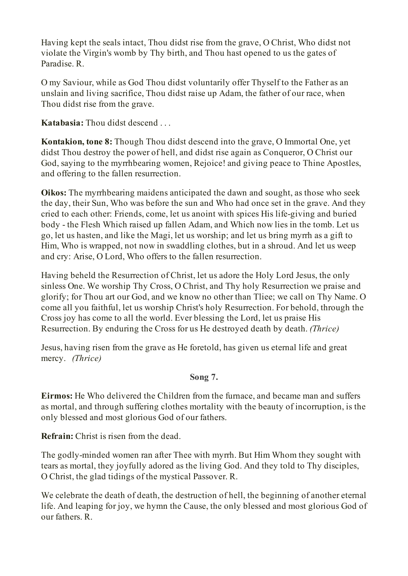Having kept the seals intact, Thou didst rise from the grave, O Christ, Who didst not violate the Virgin's womb by Thy birth, and Thou hast opened to us the gates of Paradise. R.

O my Saviour, while as God Thou didst voluntarily offer Thyself to the Father as an unslain and living sacrifice, Thou didst raise up Adam, the father of our race, when Thou didst rise from the grave.

**Katabasia:** Thou didst descend . . .

**Kontakion, tone 8:** Though Thou didst descend into the grave, O Immortal One, yet didst Thou destroy the power of hell, and didst rise again as Conqueror, O Christ our God, saying to the myrrhbearing women, Rejoice! and giving peace to Thine Apostles, and offering to the fallen resurrection.

**Oikos:** The myrrhbearing maidens anticipated the dawn and sought, as those who seek the day, their Sun, Who was before the sun and Who had once set in the grave. And they cried to each other: Friends, come, let us anoint with spices His life-giving and buried body - the Flesh Which raised up fallen Adam, and Which now lies in the tomb. Let us go, let us hasten, and like the Magi, let us worship; and let us bring myrrh as a gift to Him, Who is wrapped, not now in swaddling clothes, but in a shroud. And let us weep and cry: Arise, O Lord, Who offers to the fallen resurrection.

Having beheld the Resurrection of Christ, let us adore the Holy Lord Jesus, the only sinless One. We worship Thy Cross, O Christ, and Thy holy Resurrection we praise and glorify; for Thou art our God, and we know no other than Tliee; we call on Thy Name. O come all you faithful, let us worship Christ's holy Resurrection. For behold, through the Cross joy has come to all the world. Ever blessing the Lord, let us praise His Resurrection. By enduring the Cross for us He destroyed death by death. *(Thrice)*

Jesus, having risen from the grave as He foretold, has given us eternal life and great mercy. *(Thrice)*

### **Song 7.**

**Eirmos:** He Who delivered the Children from the furnace, and became man and suffers as mortal, and through suffering clothes mortality with the beauty of incorruption, is the only blessed and most glorious God of our fathers.

**Refrain:** Christ is risen from the dead.

The godly-minded women ran after Thee with myrrh. But Him Whom they sought with tears as mortal, they joyfully adored as the living God. And they told to Thy disciples, O Christ, the glad tidings of the mystical Passover. R.

We celebrate the death of death, the destruction of hell, the beginning of another eternal life. And leaping for joy, we hymn the Cause, the only blessed and most glorious God of our fathers. R.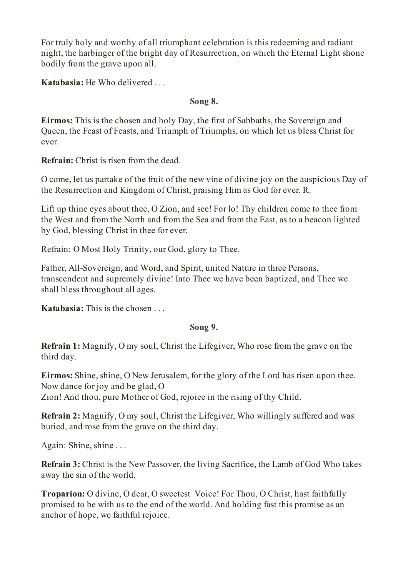For truly holy and worthy of all triumphant celebration is this redeeming and radiant night, the harbinger of the bright day of Resurrection, on which the Eternal Light shone bodily from the grave upon all.

**Katabasia:** He Who delivered . . .

### **Song 8.**

**Eirmos:** This is the chosen and holy Day, the first of Sabbaths, the Sovereign and Queen, the Feast of Feasts, and Triumph of Triumphs, on which let us bless Christ for ever.

**Refrain:** Christ is risen from the dead.

O come, let us partake of the fruit of the new vine of divine joy on the auspicious Day of the Resurrection and Kingdom of Christ, praising Him as God for ever. R.

Lift up thine eyes about thee, O Zion, and see! For lo! Thy children come to thee from the West and from the North and from the Sea and from the East, as to a beacon lighted by God, blessing Christ in thee for ever.

Refrain: O Most Holy Trinity, our God, glory to Thee.

Father, All-Sovereign, and Word, and Spirit, united Nature in three Persons, transcendent and supremely divine! Into Thee we have been baptized, and Thee we shall bless throughout all ages.

**Katabasia:** This is the chosen . . .

### **Song 9.**

**Refrain 1:** Magnify, O my soul, Christ the Lifegiver, Who rose from the grave on the third day.

**Eirmos:** Shine, shine, O New Jerusalem, for the glory of the Lord has risen upon thee. Now dance for joy and be glad, O Zion! And thou, pure Mother of God, rejoice in the rising of thy Child.

**Refrain 2:** Magnify, O my soul, Christ the Lifegiver, Who willingly suffered and was buried, and rose from the grave on the third day.

Again: Shine, shine . . .

**Refrain 3:** Christ is the New Passover, the living Sacrifice, the Lamb of God Who takes away the sin of the world.

**Troparion:** O divine, O dear, O sweetest Voice! For Thou, O Christ, hast faithfully promised to be with us to the end of the world. And holding fast this promise as an anchor of hope, we faithful rejoice.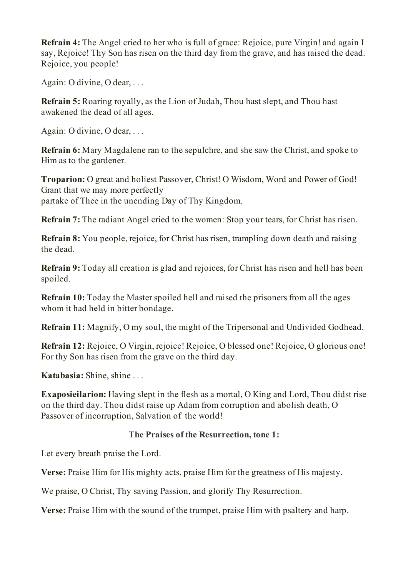**Refrain 4:** The Angel cried to her who is full of grace: Rejoice, pure Virgin! and again I say, Rejoice! Thy Son has risen on the third day from the grave, and has raised the dead. Rejoice, you people!

Again: O divine, O dear, . . .

**Refrain 5:** Roaring royally, as the Lion of Judah, Thou hast slept, and Thou hast awakened the dead of all ages.

Again: O divine, O dear, . . .

**Refrain 6:** Mary Magdalene ran to the sepulchre, and she saw the Christ, and spoke to Him as to the gardener.

**Troparion:** O great and holiest Passover, Christ! O Wisdom, Word and Power of God! Grant that we may more perfectly partake of Thee in the unending Day of Thy Kingdom.

**Refrain 7:** The radiant Angel cried to the women: Stop your tears, for Christ has risen.

**Refrain 8:** You people, rejoice, for Christ has risen, trampling down death and raising the dead.

**Refrain 9:** Today all creation is glad and rejoices, for Christ has risen and hell has been spoiled.

**Refrain 10:** Today the Master spoiled hell and raised the prisoners from all the ages whom it had held in bitter bondage.

**Refrain 11:** Magnify, O my soul, the might of the Tripersonal and Undivided Godhead.

**Refrain 12:** Rejoice, O Virgin, rejoice! Rejoice, O blessed one! Rejoice, O glorious one! For thy Son has risen from the grave on the third day.

**Katabasia:** Shine, shine . . .

**Exaposieilarion:** Having slept in the flesh as a mortal, O King and Lord, Thou didst rise on the third day. Thou didst raise up Adam from corruption and abolish death, O Passover of incorruption, Salvation of the world!

#### **The Praises of the Resurrection, tone 1:**

Let every breath praise the Lord.

**Verse:** Praise Him for His mighty acts, praise Him for the greatness of His majesty.

We praise, O Christ, Thy saving Passion, and glorify Thy Resurrection.

**Verse:** Praise Him with the sound of the trumpet, praise Him with psaltery and harp.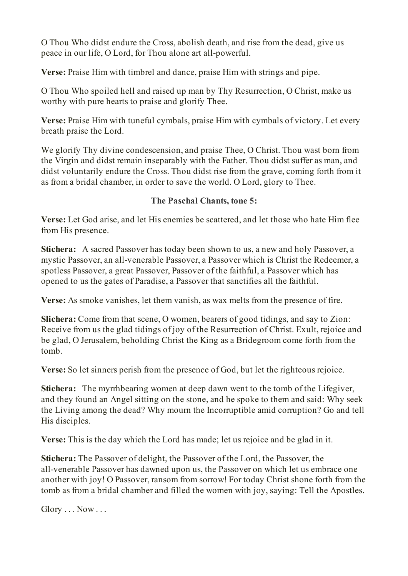O Thou Who didst endure the Cross, abolish death, and rise from the dead, give us peace in our life, O Lord, for Thou alone art all-powerful.

**Verse:** Praise Him with timbrel and dance, praise Him with strings and pipe.

O Thou Who spoiled hell and raised up man by Thy Resurrection, O Christ, make us worthy with pure hearts to praise and glorify Thee.

**Verse:** Praise Him with tuneful cymbals, praise Him with cymbals of victory. Let every breath praise the Lord.

We glorify Thy divine condescension, and praise Thee, O Christ. Thou wast born from the Virgin and didst remain inseparably with the Father. Thou didst suffer as man, and didst voluntarily endure the Cross. Thou didst rise from the grave, coming forth from it as from a bridal chamber, in order to save the world. O Lord, glory to Thee.

# **The Paschal Chants, tone 5:**

**Verse:** Let God arise, and let His enemies be scattered, and let those who hate Him flee from His presence.

**Stichera:** A sacred Passover has today been shown to us, a new and holy Passover, a mystic Passover, an all-venerable Passover, a Passover which is Christ the Redeemer, a spotless Passover, a great Passover, Passover of the faithful, a Passover which has opened to us the gates of Paradise, a Passover that sanctifies all the faithful.

**Verse:** As smoke vanishes, let them vanish, as wax melts from the presence of fire.

**Slichera:** Come from that scene, O women, bearers of good tidings, and say to Zion: Receive from us the glad tidings of joy of the Resurrection of Christ. Exult, rejoice and be glad, O Jerusalem, beholding Christ the King as a Bridegroom come forth from the tomb.

**Verse:** So let sinners perish from the presence of God, but let the righteous rejoice.

**Stichera:** The myrrhbearing women at deep dawn went to the tomb of the Lifegiver, and they found an Angel sitting on the stone, and he spoke to them and said: Why seek the Living among the dead? Why mourn the Incorruptible amid corruption? Go and tell His disciples.

**Verse:** This is the day which the Lord has made; let us rejoice and be glad in it.

**Stichera:** The Passover of delight, the Passover of the Lord, the Passover, the all-venerable Passover has dawned upon us, the Passover on which let us embrace one another with joy! O Passover, ransom from sorrow! For today Christ shone forth from the tomb as from a bridal chamber and filled the women with joy, saying: Tell the Apostles.

 $Glory \ldots Now \ldots$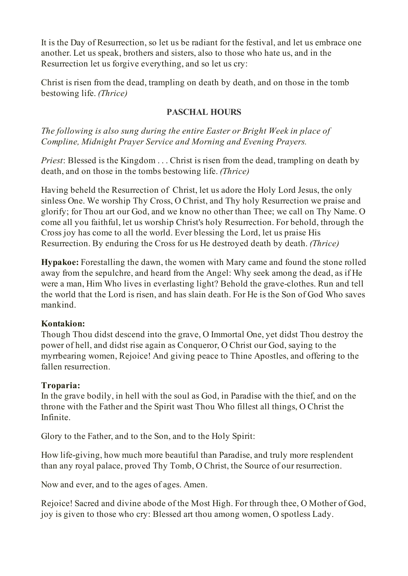It is the Day of Resurrection, so let us be radiant for the festival, and let us embrace one another. Let us speak, brothers and sisters, also to those who hate us, and in the Resurrection let us forgive everything, and so let us cry:

Christ is risen from the dead, trampling on death by death, and on those in the tomb bestowing life. *(Thrice)*

## **PASCHAL HOURS**

*The following is also sung during the entire Easter or Bright Week in place of Compline, Midnight Prayer Service and Morning and Evening Prayers.*

*Priest*: Blessed is the Kingdom . . . Christ is risen from the dead, trampling on death by death, and on those in the tombs bestowing life. *(Thrice)*

Having beheld the Resurrection of Christ, let us adore the Holy Lord Jesus, the only sinless One. We worship Thy Cross, O Christ, and Thy holy Resurrection we praise and glorify; for Thou art our God, and we know no other than Thee; we call on Thy Name. O come all you faithful, let us worship Christ's holy Resurrection. For behold, through the Cross joy has come to all the world. Ever blessing the Lord, let us praise His Resurrection. By enduring the Cross for us He destroyed death by death. *(Thrice)*

**Hypakoe:** Forestalling the dawn, the women with Mary came and found the stone rolled away from the sepulchre, and heard from the Angel: Why seek among the dead, as if He were a man, Him Who lives in everlasting light? Behold the grave-clothes. Run and tell the world that the Lord is risen, and has slain death. For He is the Son of God Who saves mankind.

### **Kontakion:**

Though Thou didst descend into the grave, O Immortal One, yet didst Thou destroy the power of hell, and didst rise again as Conqueror, O Christ our God, saying to the myrrbearing women, Rejoice! And giving peace to Thine Apostles, and offering to the fallen resurrection.

### **Troparia:**

In the grave bodily, in hell with the soul as God, in Paradise with the thief, and on the throne with the Father and the Spirit wast Thou Who fillest all things, O Christ the Infinite.

Glory to the Father, and to the Son, and to the Holy Spirit:

How life-giving, how much more beautiful than Paradise, and truly more resplendent than any royal palace, proved Thy Tomb, O Christ, the Source of our resurrection.

Now and ever, and to the ages of ages. Amen.

Rejoice! Sacred and divine abode of the Most High. For through thee, O Mother of God, joy is given to those who cry: Blessed art thou among women, O spotless Lady.